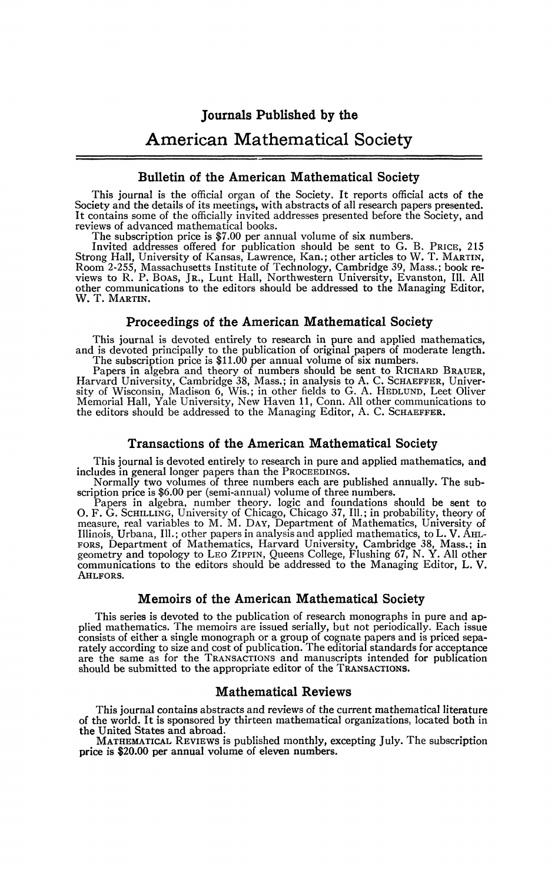# American Mathematical Society

# **Bulletin of the American Mathematical Society**

This journal is the officiai organ of the Society. It reports official acts of the Society and the details of its meetings, with abstracts of all research papers presented. It contains some of the officially invited addresses presented before the Society, and reviews of advanced mathematical books.

The subscription price is \$7.00 per annual volume of six numbers.

Invited addresses offered for publication should be sent to G. B. PRICE, 215 Strong Hall, University of Kansas, Lawrence, Kan.; other articles to W. T. MARTIN, Room 2-255, Massachusetts Institute of Technology, Cambridge 39, Mass.; book reviews to R. P. Boas, JR., Lunt Hall, Northwestern University, Evanston, Ill. All other communications to the editors should be addressed to the

#### **Proceedings of the American Mathematical Society**

This journal is devoted entirely to research in pure and applied mathematics, and is devoted principally to the publication of original papers of moderate length.

The subscription price is \$11.00 per annual volume of six numbers. Papers in algebra and theory of numbers should be sent to KICHARD BRAUER,<br>Harvard University, Cambridge 38, Mass.; in analysis to A. C. SCHAEFFER, Univer-<br>sity of Wisconsin, Madison 6, Wis.; in other fields to G. A. HEDLUN

#### **Transactions of the American Mathematical Society**

This journal is devoted entirely to research in pure and applied mathematics, and includes in general longer papers than the PROCEEDINGS.

Normally two volumes of three numbers each are published annually. The sub-

scription price is \$6.00 per (semi-annual) volume of three numbers.<br>Papers in algebra, number theory. logic and foundations should be sent to<br>O. F. G. ScHLLING, University of Chicago, Chicago 37, Ill.; in probability, theo FORS, Department of Mathematics, Harvard University, Cambridge 38, Mass.; in geometry and topology to LEO ZIPPIN, Queens College, Flushing 67, N. Y. All other communications to the editors should be addressed to the Managi AHLFORS.

#### **Memoirs of the American Mathematical Society**

This series is devoted to the publication of research monographs in pure and applied mathematics. The memoirs are issued serially, but not periodically. Each issue consists of either a single monograph or a group of cognate papers and is priced separately according to size and cost of publication. The editorial standards for acceptance are the same as for the TRANSACTIONS and manuscripts intended for publication should be submitted to the appropriate editor of the TRANSACTIONS.

#### **Mathematical Reviews**

This journal contains abstracts and reviews of the current mathematical literature of the world. It is sponsored by thirteen mathematical organizations, located both in the United States and abroad.

MATHEMATICAL REVIEWS is published monthly, excepting July. The subscription price is \$20.00 per annual volume of eleven numbers.